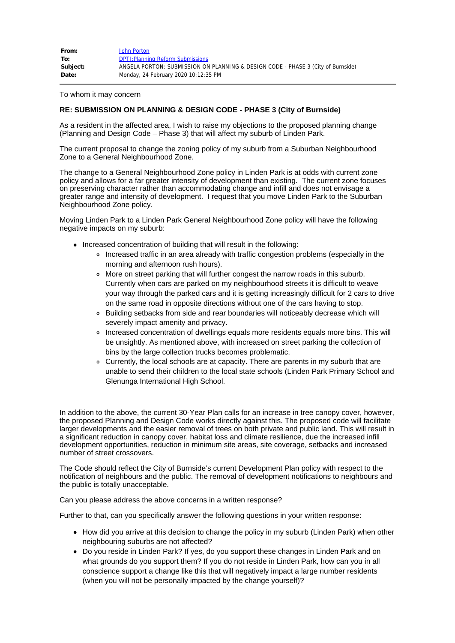| From:    | John Porton                                                                      |
|----------|----------------------------------------------------------------------------------|
| To:      | <b>DPTI: Planning Reform Submissions</b>                                         |
| Subject: | ANGELA PORTON: SUBMISSION ON PLANNING & DESIGN CODE - PHASE 3 (City of Burnside) |
| Date:    | Monday, 24 February 2020 10:12:35 PM                                             |

To whom it may concern

## **RE: SUBMISSION ON PLANNING & DESIGN CODE - PHASE 3 (City of Burnside)**

As a resident in the affected area, I wish to raise my objections to the proposed planning change (Planning and Design Code – Phase 3) that will affect my suburb of Linden Park.

The current proposal to change the zoning policy of my suburb from a Suburban Neighbourhood Zone to a General Neighbourhood Zone.

The change to a General Neighbourhood Zone policy in Linden Park is at odds with current zone policy and allows for a far greater intensity of development than existing. The current zone focuses on preserving character rather than accommodating change and infill and does not envisage a greater range and intensity of development. I request that you move Linden Park to the Suburban Neighbourhood Zone policy.

Moving Linden Park to a Linden Park General Neighbourhood Zone policy will have the following negative impacts on my suburb:

- Increased concentration of building that will result in the following:
	- Increased traffic in an area already with traffic congestion problems (especially in the morning and afternoon rush hours).
	- More on street parking that will further congest the narrow roads in this suburb. Currently when cars are parked on my neighbourhood streets it is difficult to weave your way through the parked cars and it is getting increasingly difficult for 2 cars to drive on the same road in opposite directions without one of the cars having to stop.
	- Building setbacks from side and rear boundaries will noticeably decrease which will severely impact amenity and privacy.
	- Increased concentration of dwellings equals more residents equals more bins. This will be unsightly. As mentioned above, with increased on street parking the collection of bins by the large collection trucks becomes problematic.
	- Currently, the local schools are at capacity. There are parents in my suburb that are unable to send their children to the local state schools (Linden Park Primary School and Glenunga International High School.

In addition to the above, the current 30-Year Plan calls for an increase in tree canopy cover, however, the proposed Planning and Design Code works directly against this. The proposed code will facilitate larger developments and the easier removal of trees on both private and public land. This will result in a significant reduction in canopy cover, habitat loss and climate resilience, due the increased infill development opportunities, reduction in minimum site areas, site coverage, setbacks and increased number of street crossovers.

The Code should reflect the City of Burnside's current Development Plan policy with respect to the notification of neighbours and the public. The removal of development notifications to neighbours and the public is totally unacceptable.

Can you please address the above concerns in a written response?

Further to that, can you specifically answer the following questions in your written response:

- How did you arrive at this decision to change the policy in my suburb (Linden Park) when other neighbouring suburbs are not affected?
- Do you reside in Linden Park? If yes, do you support these changes in Linden Park and on what grounds do you support them? If you do not reside in Linden Park, how can you in all conscience support a change like this that will negatively impact a large number residents (when you will not be personally impacted by the change yourself)?